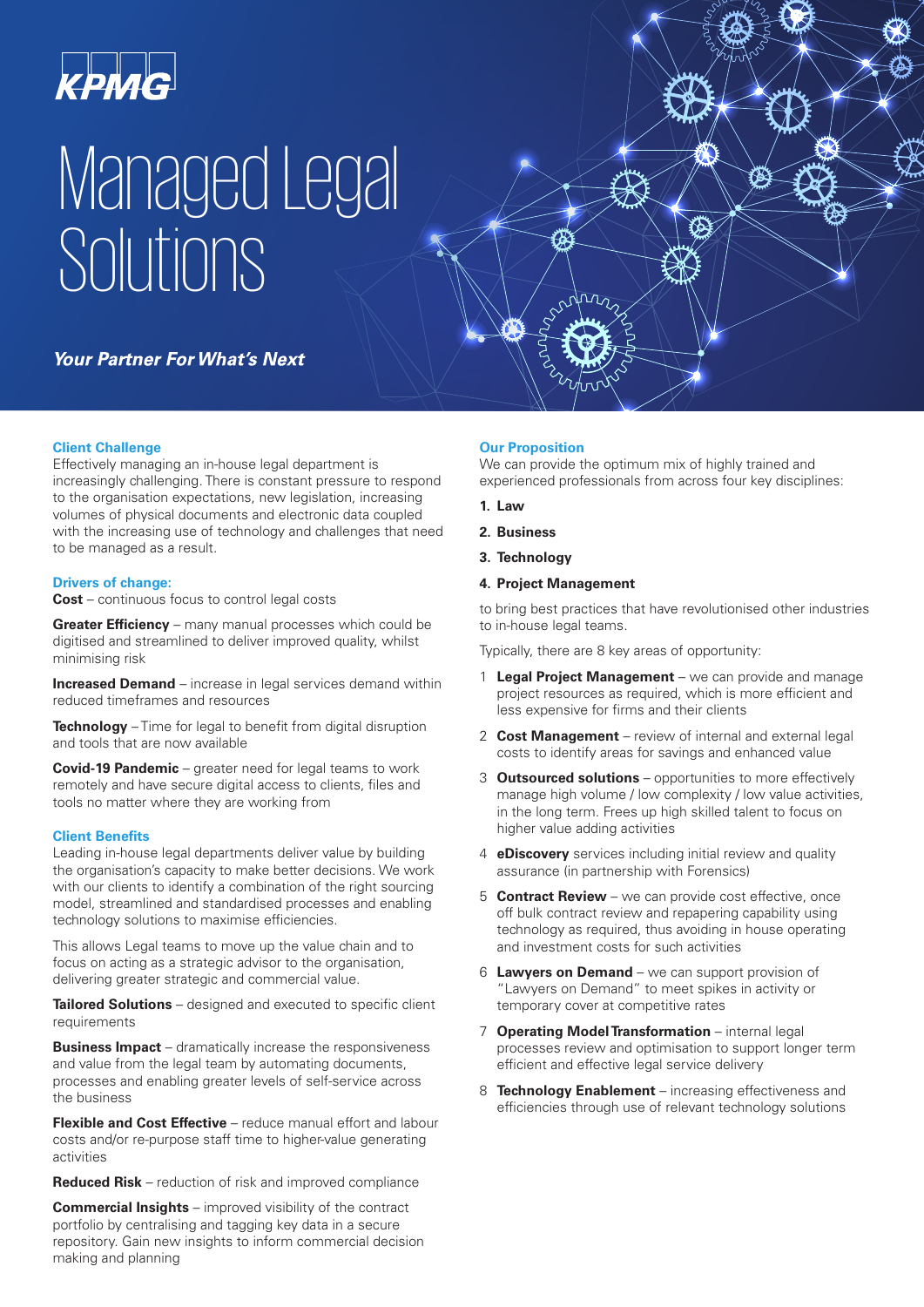

# ManagedLegal Solutions

**Your Partner For What's Next** 

#### **Client Challenge**

Effectively managing an in-house legal department is increasingly challenging. There is constant pressure to respond to the organisation expectations, new legislation, increasing volumes of physical documents and electronic data coupled with the increasing use of technology and challenges that need to be managed as a result.

#### **Drivers of change:**

**Cost** – continuous focus to control legal costs

**Greater Efficiency** – many manual processes which could be digitised and streamlined to deliver improved quality, whilst minimising risk

**Increased Demand** – increase in legal services demand within reduced timeframes and resources

**Technology** – Time for legal to benefit from digital disruption and tools that are now available

**Covid-19 Pandemic** – greater need for legal teams to work remotely and have secure digital access to clients, files and tools no matter where they are working from

#### **Client Benefits**

Leading in-house legal departments deliver value by building the organisation's capacity to make better decisions. We work with our clients to identify a combination of the right sourcing model, streamlined and standardised processes and enabling technology solutions to maximise efficiencies.

This allows Legal teams to move up the value chain and to focus on acting as a strategic advisor to the organisation. delivering greater strategic and commercial value.

**Tailored Solutions** – designed and executed to specific client requirements

**Business Impact** – dramatically increase the responsiveness and value from the legal team by automating documents, processes and enabling greater levels of self-service across the business

**Flexible and Cost Effective** – reduce manual effort and labour costs and/or re-purpose staff time to higher-value generating activities

**Reduced Risk** – reduction of risk and improved compliance

**Commercial Insights** – improved visibility of the contract portfolio by centralising and tagging key data in a secure repository. Gain new insights to inform commercial decision making and planning

#### **Our Proposition**

We can provide the optimum mix of highly trained and experienced professionals from across four key disciplines:

- **1. Law**
- **2. Business**
- **3. Technology**

### **4. Project Management**

to bring best practices that have revolutionised other industries to in-house legal teams.

Typically, there are 8 key areas of opportunity:

- 1 **Legal Project Management** we can provide and manage project resources as required, which is more efficient and less expensive for firms and their clients
- 2 **Cost Management** review of internal and external legal costs to identify areas for savings and enhanced value
- 3 **Outsourced solutions** opportunities to more effectively manage high volume / low complexity / low value activities, in the long term. Frees up high skilled talent to focus on higher value adding activities
- 4 **eDiscovery** services including initial review and quality assurance (in partnership with Forensics)
- 5 **Contract Review**  we can provide cost effective, once off bulk contract review and repapering capability using technology as required, thus avoiding in house operating and investment costs for such activities
- 6 **Lawyers on Demand**  we can support provision of "Lawyers on Demand" to meet spikes in activity or temporary cover at competitive rates
- 7 **Operating Model Transformation** internal legal processes review and optimisation to support longer term efficient and effective legal service delivery
- 8 **Technology Enablement** increasing effectiveness and efficiencies through use of relevant technology solutions